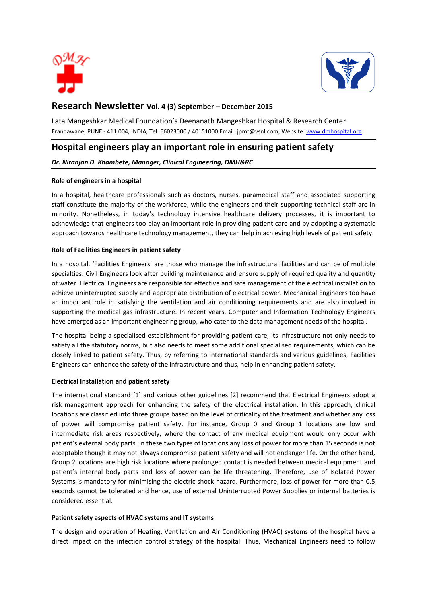



# **Research Newsletter Vol. 4 (3) September – December 2015**

Lata Mangeshkar Medical Foundation's Deenanath Mangeshkar Hospital & Research Center Erandawane, PUNE - 411 004, INDIA, Tel. 66023000 / 40151000 Email[: jpmt@vsnl.com,](mailto:jpmt@vsnl.com) Website[: www.dmhospital.org](http://www.dmhospital.org/)

# **Hospital engineers play an important role in ensuring patient safety**

### *Dr. Niranjan D. Khambete, Manager, Clinical Engineering, DMH&RC*

### **Role of engineers in a hospital**

In a hospital, healthcare professionals such as doctors, nurses, paramedical staff and associated supporting staff constitute the majority of the workforce, while the engineers and their supporting technical staff are in minority. Nonetheless, in today's technology intensive healthcare delivery processes, it is important to acknowledge that engineers too play an important role in providing patient care and by adopting a systematic approach towards healthcare technology management, they can help in achieving high levels of patient safety.

#### **Role of Facilities Engineers in patient safety**

In a hospital, 'Facilities Engineers' are those who manage the infrastructural facilities and can be of multiple specialties. Civil Engineers look after building maintenance and ensure supply of required quality and quantity of water. Electrical Engineers are responsible for effective and safe management of the electrical installation to achieve uninterrupted supply and appropriate distribution of electrical power. Mechanical Engineers too have an important role in satisfying the ventilation and air conditioning requirements and are also involved in supporting the medical gas infrastructure. In recent years, Computer and Information Technology Engineers have emerged as an important engineering group, who cater to the data management needs of the hospital.

The hospital being a specialised establishment for providing patient care, its infrastructure not only needs to satisfy all the statutory norms, but also needs to meet some additional specialised requirements, which can be closely linked to patient safety. Thus, by referring to international standards and various guidelines, Facilities Engineers can enhance the safety of the infrastructure and thus, help in enhancing patient safety.

#### **Electrical Installation and patient safety**

The international standard [1] and various other guidelines [2] recommend that Electrical Engineers adopt a risk management approach for enhancing the safety of the electrical installation. In this approach, clinical locations are classified into three groups based on the level of criticality of the treatment and whether any loss of power will compromise patient safety. For instance, Group 0 and Group 1 locations are low and intermediate risk areas respectively, where the contact of any medical equipment would only occur with patient's external body parts. In these two types of locations any loss of power for more than 15 seconds is not acceptable though it may not always compromise patient safety and will not endanger life. On the other hand, Group 2 locations are high risk locations where prolonged contact is needed between medical equipment and patient's internal body parts and loss of power can be life threatening. Therefore, use of Isolated Power Systems is mandatory for minimising the electric shock hazard. Furthermore, loss of power for more than 0.5 seconds cannot be tolerated and hence, use of external Uninterrupted Power Supplies or internal batteries is considered essential.

#### **Patient safety aspects of HVAC systems and IT systems**

The design and operation of Heating, Ventilation and Air Conditioning (HVAC) systems of the hospital have a direct impact on the infection control strategy of the hospital. Thus, Mechanical Engineers need to follow